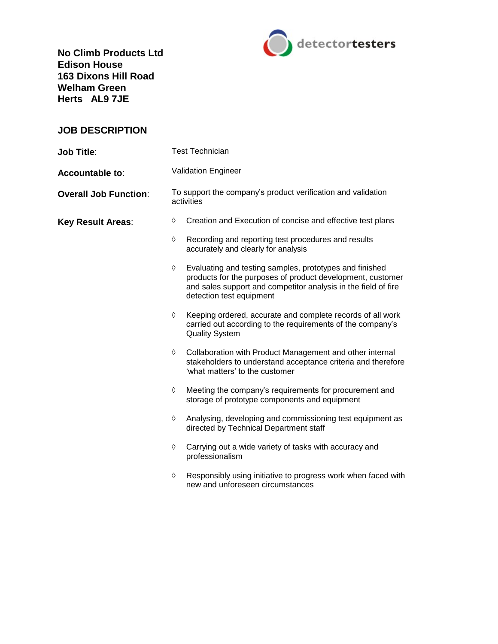**No Climb Products Ltd Edison House 163 Dixons Hill Road Welham Green Herts AL9 7JE**



## **JOB DESCRIPTION**

| <b>Job Title:</b>            | <b>Test Technician</b>                                                     |                                                                                                                                                                                                                     |  |
|------------------------------|----------------------------------------------------------------------------|---------------------------------------------------------------------------------------------------------------------------------------------------------------------------------------------------------------------|--|
| Accountable to:              | <b>Validation Engineer</b>                                                 |                                                                                                                                                                                                                     |  |
| <b>Overall Job Function:</b> | To support the company's product verification and validation<br>activities |                                                                                                                                                                                                                     |  |
| <b>Key Result Areas:</b>     | ♦                                                                          | Creation and Execution of concise and effective test plans                                                                                                                                                          |  |
|                              | ♦                                                                          | Recording and reporting test procedures and results<br>accurately and clearly for analysis                                                                                                                          |  |
|                              | ♦                                                                          | Evaluating and testing samples, prototypes and finished<br>products for the purposes of product development, customer<br>and sales support and competitor analysis in the field of fire<br>detection test equipment |  |
|                              | ♦                                                                          | Keeping ordered, accurate and complete records of all work<br>carried out according to the requirements of the company's<br><b>Quality System</b>                                                                   |  |
|                              | ♦                                                                          | Collaboration with Product Management and other internal<br>stakeholders to understand acceptance criteria and therefore<br>'what matters' to the customer                                                          |  |
|                              | ♦                                                                          | Meeting the company's requirements for procurement and<br>storage of prototype components and equipment                                                                                                             |  |
|                              | ♦                                                                          | Analysing, developing and commissioning test equipment as<br>directed by Technical Department staff                                                                                                                 |  |
|                              | ♦                                                                          | Carrying out a wide variety of tasks with accuracy and<br>professionalism                                                                                                                                           |  |
|                              | ♦                                                                          | Responsibly using initiative to progress work when faced with<br>new and unforeseen circumstances                                                                                                                   |  |
|                              |                                                                            |                                                                                                                                                                                                                     |  |